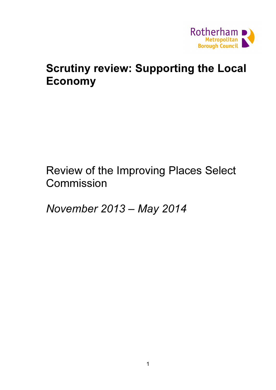

# Scrutiny review: Supporting the Local Economy

Review of the Improving Places Select Commission

November 2013 – May 2014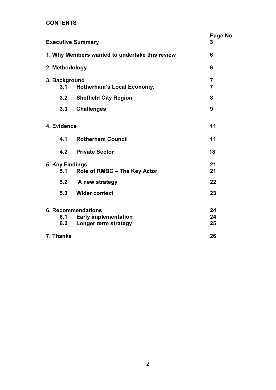## **CONTENTS**

| <b>Executive Summary</b><br>1. Why Members wanted to undertake this review<br>2. Methodology<br>3. Background |                              | Page No<br>3             |     |                                   |                |
|---------------------------------------------------------------------------------------------------------------|------------------------------|--------------------------|-----|-----------------------------------|----------------|
|                                                                                                               |                              | 6<br>6<br>$\overline{7}$ |     |                                   |                |
|                                                                                                               |                              |                          | 3.1 | <b>Rotherham's Local Economy.</b> | $\overline{7}$ |
|                                                                                                               |                              |                          | 3.2 | <b>Sheffield City Region</b>      | 8              |
| 3.3                                                                                                           | <b>Challenges</b>            | 9                        |     |                                   |                |
| 4. Evidence                                                                                                   |                              | 11                       |     |                                   |                |
| 4.1                                                                                                           | <b>Rotherham Council</b>     | 11                       |     |                                   |                |
| 4.2                                                                                                           | <b>Private Sector</b>        | 18                       |     |                                   |                |
| 5. Key Findings                                                                                               |                              | 21                       |     |                                   |                |
| 5.1                                                                                                           | Role of RMBC - The Key Actor | 21                       |     |                                   |                |
| 5.2                                                                                                           | A new strategy               | 22                       |     |                                   |                |
| 5.3                                                                                                           | <b>Wider context</b>         | 23                       |     |                                   |                |
| <b>6. Recommendations</b>                                                                                     |                              | 24                       |     |                                   |                |
| 6.1                                                                                                           | <b>Early implementation</b>  | 24                       |     |                                   |                |
| 6.2                                                                                                           | Longer term strategy         | 25                       |     |                                   |                |
| 7. Thanks                                                                                                     |                              | 26                       |     |                                   |                |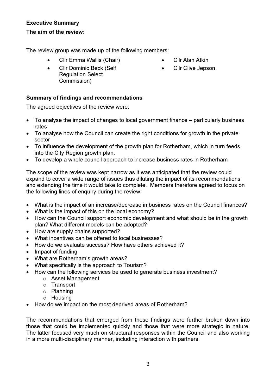# Executive Summary The aim of the review:

The review group was made up of the following members:

- Cllr Emma Wallis (Chair)
- Cllr Dominic Beck (Self Regulation Select Commission)
- Cllr Alan Atkin
- Cllr Clive Jepson

# Summary of findings and recommendations

The agreed objectives of the review were:

- To analyse the impact of changes to local government finance particularly business rates
- To analyse how the Council can create the right conditions for growth in the private sector
- To influence the development of the growth plan for Rotherham, which in turn feeds into the City Region growth plan.
- To develop a whole council approach to increase business rates in Rotherham

The scope of the review was kept narrow as it was anticipated that the review could expand to cover a wide range of issues thus diluting the impact of its recommendations and extending the time it would take to complete. Members therefore agreed to focus on the following lines of enquiry during the review:

- What is the impact of an increase/decrease in business rates on the Council finances?
- What is the impact of this on the local economy?
- How can the Council support economic development and what should be in the growth plan? What different models can be adopted?
- How are supply chains supported?
- What incentives can be offered to local businesses?
- How do we evaluate success? How have others achieved it?
- Impact of funding
- What are Rotherham's growth areas?
- What specifically is the approach to Tourism?
- How can the following services be used to generate business investment?
	- o Asset Management
	- o Transport
	- o Planning
	- o Housing
- How do we impact on the most deprived areas of Rotherham?

The recommendations that emerged from these findings were further broken down into those that could be implemented quickly and those that were more strategic in nature. The latter focused very much on structural responses within the Council and also working in a more multi-disciplinary manner, including interaction with partners.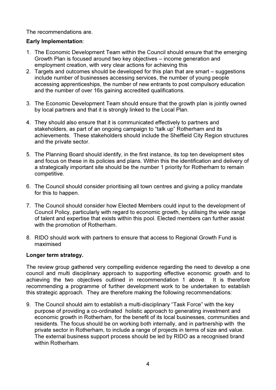The recommendations are.

## Early Implementation:

- 1. The Economic Development Team within the Council should ensure that the emerging Growth Plan is focused around two key objectives – income generation and employment creation, with very clear actions for achieving this
- 2. Targets and outcomes should be developed for this plan that are smart suggestions include number of businesses accessing services, the number of young people accessing apprenticeships, the number of new entrants to post compulsory education and the number of over 16s gaining accredited qualifications.
- 3. The Economic Development Team should ensure that the growth plan is jointly owned by local partners and that it is strongly linked to the Local Plan.
- 4. They should also ensure that it is communicated effectively to partners and stakeholders, as part of an ongoing campaign to "talk up" Rotherham and its achievements. These stakeholders should include the Sheffield City Region structures and the private sector.
- 5. The Planning Board should identify, in the first instance, its top ten development sites and focus on these in its policies and plans. Within this the identification and delivery of a strategically important site should be the number 1 priority for Rotherham to remain competitive.
- 6. The Council should consider prioritising all town centres and giving a policy mandate for this to happen.
- 7. The Council should consider how Elected Members could input to the development of Council Policy, particularly with regard to economic growth, by utilising the wide range of talent and expertise that exists within this pool. Elected members can further assist with the promotion of Rotherham.
- 8. RIDO should work with partners to ensure that access to Regional Growth Fund is maximised

#### Longer term strategy.

The review group gathered very compelling evidence regarding the need to develop a one council and multi disciplinary approach to supporting effective economic growth and to achieving the two objectives outlined in recommendation 1 above. It is therefore recommending a programme of further development work to be undertaken to establish this strategic approach. They are therefore making the following recommendations:

9. The Council should aim to establish a multi-disciplinary "Task Force" with the key purpose of providing a co-ordinated holistic approach to generating investment and economic growth in Rotherham, for the benefit of its local businesses, communities and residents. The focus should be on working both internally, and in partnership with the private sector in Rotherham, to include a range of projects in terms of size and value. The external business support process should be led by RIDO as a recognised brand within Rotherham.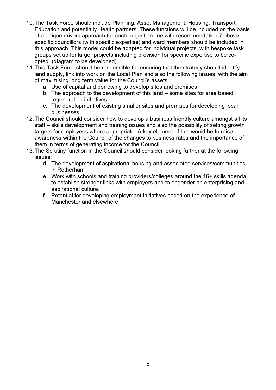- 10. The Task Force should include Planning, Asset Management, Housing, Transport, Education and potentially Health partners. These functions will be included on the basis of a unique drivers approach for each project. In line with recommendation 7 above specific councillors (with specific expertise) and ward members should be included in this approach. This model could be adapted for individual projects, with bespoke task groups set up for larger projects including provision for specific expertise to be coopted. (diagram to be developed)
- 11. This Task Force should be responsible for ensuring that the strategy should identify land supply, link into work on the Local Plan and also the following issues, with the aim of maximising long term value for the Council's assets:
	- a. Use of capital and borrowing to develop sites and premises
	- b. The approach to the development of this land some sites for area based regeneration initiatives
	- c. The development of existing smaller sites and premises for developing local businesses
- 12. The Council should consider how to develop a business friendly culture amongst all its staff – skills development and training issues and also the possibility of setting growth targets for employees where appropriate. A key element of this would be to raise awareness within the Council of the changes to business rates and the importance of them in terms of generating income for the Council.
- 13. The Scrutiny function in the Council should consider looking further at the following issues;
	- d. The development of aspirational housing and associated services/communities in Rotherham
	- e. Work with schools and training providers/colleges around the 16+ skills agenda to establish stronger links with employers and to engender an enterprising and aspirational culture.
	- f. Potential for developing employment initiatives based on the experience of Manchester and elsewhere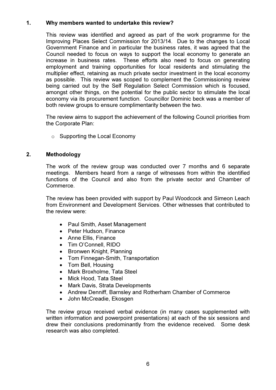## 1. Why members wanted to undertake this review?

This review was identified and agreed as part of the work programme for the Improving Places Select Commission for 2013/14. Due to the changes to Local Government Finance and in particular the business rates, it was agreed that the Council needed to focus on ways to support the local economy to generate an increase in business rates. These efforts also need to focus on generating employment and training opportunities for local residents and stimulating the multiplier effect, retaining as much private sector investment in the local economy as possible. This review was scoped to complement the Commissioning review being carried out by the Self Regulation Select Commission which is focused, amongst other things, on the potential for the public sector to stimulate the local economy via its procurement function. Councillor Dominic beck was a member of both review groups to ensure complimentarity between the two.

The review aims to support the achievement of the following Council priorities from the Corporate Plan:

 $\circ$  Supporting the Local Economy

## 2. Methodology

The work of the review group was conducted over 7 months and 6 separate meetings. Members heard from a range of witnesses from within the identified functions of the Council and also from the private sector and Chamber of Commerce.

The review has been provided with support by Paul Woodcock and Simeon Leach from Environment and Development Services. Other witnesses that contributed to the review were:

- Paul Smith, Asset Management
- Peter Hudson, Finance
- Anne Ellis, Finance
- Tim O'Connell, RIDO
- Bronwen Knight, Planning
- Tom Finnegan-Smith, Transportation
- Tom Bell, Housing
- Mark Broxholme, Tata Steel
- Mick Hood, Tata Steel
- Mark Davis, Strata Developments
- Andrew Denniff, Barnsley and Rotherham Chamber of Commerce
- John McCreadie, Ekosgen

The review group received verbal evidence (in many cases supplemented with written information and powerpoint presentations) at each of the six sessions and drew their conclusions predominantly from the evidence received. Some desk research was also completed.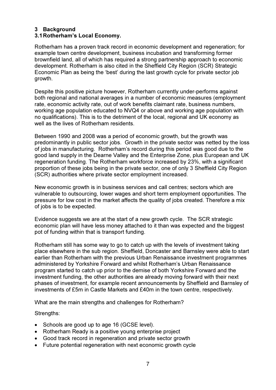## 3 Background

## 3.1 Rotherham's Local Economy.

Rotherham has a proven track record in economic development and regeneration; for example town centre development, business incubation and transforming former brownfield land, all of which has required a strong partnership approach to economic development. Rotherham is also cited in the Sheffield City Region (SCR) Strategic Economic Plan as being the 'best' during the last growth cycle for private sector job growth.

Despite this positive picture however, Rotherham currently under-performs against both regional and national averages in a number of economic measures (employment rate, economic activity rate, out of work benefits claimant rate, business numbers, working age population educated to NVQ4 or above and working age population with no qualifications). This is to the detriment of the local, regional and UK economy as well as the lives of Rotherham residents.

Between 1990 and 2008 was a period of economic growth, but the growth was predominantly in public sector jobs. Growth in the private sector was netted by the loss of jobs in manufacturing. Rotherham's record during this period was good due to the good land supply in the Dearne Valley and the Enterprise Zone, plus European and UK regeneration funding. The Rotherham workforce increased by 23%, with a significant proportion of these jobs being in the private sector, one of only 3 Sheffield City Region (SCR) authorities where private sector employment increased.

New economic growth is in business services and call centres; sectors which are vulnerable to outsourcing, lower wages and short term employment opportunities. The pressure for low cost in the market affects the quality of jobs created. Therefore a mix of jobs is to be expected.

Evidence suggests we are at the start of a new growth cycle. The SCR strategic economic plan will have less money attached to it than was expected and the biggest pot of funding within that is transport funding.

Rotherham still has some way to go to catch up with the levels of investment taking place elsewhere in the sub region. Sheffield, Doncaster and Barnsley were able to start earlier than Rotherham with the previous Urban Renaissance investment programmes administered by Yorkshire Forward and whilst Rotherham's Urban Renaissance program started to catch up prior to the demise of both Yorkshire Forward and the investment funding, the other authorities are already moving forward with their next phases of investment, for example recent announcements by Sheffield and Barnsley of investments of £5m in Castle Markets and £40m in the town centre, respectively.

What are the main strengths and challenges for Rotherham?

Strengths:

- Schools are good up to age 16 (GCSE level).
- Rotherham Ready is a positive young enterprise project
- Good track record in regeneration and private sector growth
- Future potential regeneration with next economic growth cycle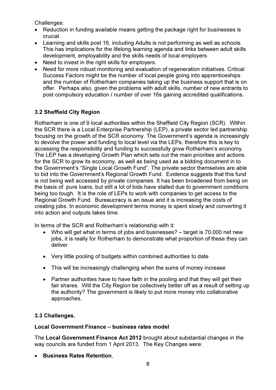Challenges:

- Reduction in funding available means getting the package right for businesses is crucial.
- Learning and skills post 16, including Adults is not performing as well as schools. This has implications for the lifelong learning agenda and links between adult skills development, employability and the skills needs of local employers
- Need to invest in the right skills for employers.
- Need for more robust monitoring and evaluation of regeneration initiatives. Critical Success Factors might be the number of local people going into apprenticeships and the number of Rotherham companies taking up the business support that is on offer. Perhaps also, given the problems with adult skills, number of new entrants to post compulsory education / number of over 16s gaining accredited qualifications.

# 3.2 Sheffield City Region

Rotherham is one of 9 local authorities within the Sheffield City Region (SCR). Within the SCR there is a Local Enterprise Partnership (LEP), a private sector led partnership focusing on the growth of the SCR economy. The Government's agenda is increasingly to devolve the power and funding to local level via the LEPs, therefore this is key to accessing the responsibility and funding to successfully grow Rotherham's economy. The LEP has a developing Growth Plan which sets out the main priorities and actions for the SCR to grow its economy, as well as being used as a bidding document in to the Government's "Single Local Growth Fund". The private sector themselves are able to bid into the Government's Regional Growth Fund. Evidence suggests that this fund is not being well accessed by private companies. It has been broadened from being on the basis of pure loans, but still a lot of bids have stalled due to government conditions being too tough. It is the role of LEPs to work with companies to get access to the Regional Growth Fund. Bureaucracy is an issue and it is increasing the costs of creating jobs. In economic development terms money is spent slowly and converting it into action and outputs takes time.

In terms of the SCR and Rotherham's relationship with it:

- Who will get what in terms of jobs and businesses? target is 70,000 net new jobs, it is really for Rotherham to demonstrate what proportion of these they can deliver
- Very little pooling of budgets within combined authorities to date
- This will be increasingly challenging when the sums of money increase
- Partner authorities have to have faith in the pooling and that they will get their fair shares. Will the City Region be collectively better off as a result of setting up the authority? The government is likely to put more money into collaborative approaches.

## 3.3 Challenges.

#### Local Government Finance – business rates model

The Local Government Finance Act 2012 brought about substantial changes in the way councils are funded from 1 April 2013. The Key Changes were:

• Business Rates Retention,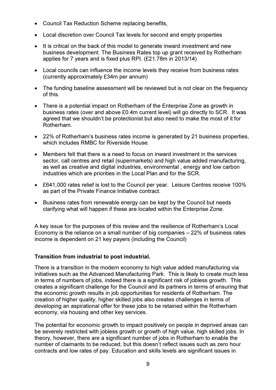- Council Tax Reduction Scheme replacing benefits,
- Local discretion over Council Tax levels for second and empty properties
- It is critical on the back of this model to generate inward investment and new business development. The Business Rates top up grant received by Rotherham applies for 7 years and is fixed plus RPI. (£21.78m in 2013/14)
- Local councils can influence the income levels they receive from business rates (currently approximately £34m per annum)
- The funding baseline assessment will be reviewed but is not clear on the frequency of this.
- There is a potential impact on Rotherham of the Enterprise Zone as growth in business rates (over and above £0.4m current level) will go directly to SCR. It was agreed that we shouldn't be protectionist but also need to make the most of it for Rotherham.
- 22% of Rotherham's business rates income is generated by 21 business properties, which includes RMBC for Riverside House.
- Members felt that there is a need to focus on inward investment in the services sector, call centres and retail (supermarkets) and high value added manufacturing, as well as creative and digital industries, environmental , energy and low carbon industries which are priorities in the Local Plan and for the SCR.
- £641,000 rates relief is lost to the Council per year. Leisure Centres receive 100% as part of the Private Finance Initiative contract.
- Business rates from renewable energy can be kept by the Council but needs clarifying what will happen if these are located within the Enterprise Zone.

A key issue for the purposes of this review and the resilience of Rotherham's Local Economy is the reliance on a small number of big companies – 22% of business rates income is dependent on 21 key payers (including the Council)

#### Transition from industrial to post industrial.

There is a transition in the modern economy to high value added manufacturing via initiatives such as the Advanced Manufacturing Park. This is likely to create much less in terms of numbers of jobs, indeed there is a significant risk of jobless growth. This creates a significant challenge for the Council and its partners in terms of ensuring that the economic growth results in job opportunities for residents of Rotherham. The creation of higher quality, higher skilled jobs also creates challenges in terms of developing an aspirational offer for these jobs to be retained within the Rotherham economy, via housing and other key services.

The potential for economic growth to impact positively on people in deprived areas can be severely restricted with jobless growth or growth of high value, high skilled jobs. In theory, however, there are a significant number of jobs in Rotherham to enable the number of claimants to be reduced, but this doesn't reflect issues such as zero hour contracts and low rates of pay. Education and skills levels are significant issues in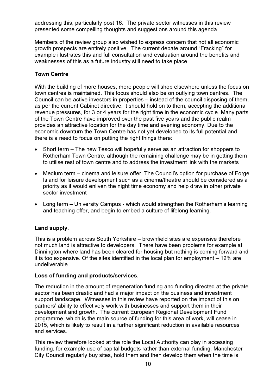addressing this, particularly post 16. The private sector witnesses in this review presented some compelling thoughts and suggestions around this agenda.

Members of the review group also wished to express concern that not all economic growth prospects are entirely positive. The current debate around "Fracking" for example illustrates this and full consultation and evaluation around the benefits and weaknesses of this as a future industry still need to take place.

## Town Centre

With the building of more houses, more people will shop elsewhere unless the focus on town centres is maintained. This focus should also be on outlying town centres. The Council can be active investors in properties – instead of the council disposing of them, as per the current Cabinet directive, it should hold on to them, accepting the additional revenue pressures, for 3 or 4 years for the right time in the economic cycle. Many parts of the Town Centre have improved over the past five years and the public realm provides an attractive location for the day time and evening economy. Due to the economic downturn the Town Centre has not yet developed to its full potential and there is a need to focus on putting the right things there:

- Short term The new Tesco will hopefully serve as an attraction for shoppers to Rotherham Town Centre, although the remaining challenge may be in getting them to utilise rest of town centre and to address the investment link with the markets
- Medium term cinema and leisure offer. The Council's option for purchase of Forge Island for leisure development such as a cinema/theatre should be considered as a priority as it would enliven the night time economy and help draw in other private sector investment
- Long term University Campus which would strengthen the Rotherham's learning and teaching offer, and begin to embed a culture of lifelong learning.

## Land supply.

This is a problem across South Yorkshire – brownfield sites are expensive therefore not much land is attractive to developers. There have been problems for example at Dinnington where land has been cleared for housing but nothing is coming forward and it is too expensive. Of the sites identified in the local plan for employment – 12% are undeliverable.

#### Loss of funding and products/services.

The reduction in the amount of regeneration funding and funding directed at the private sector has been drastic and had a major impact on the business and investment support landscape. Witnesses in this review have reported on the impact of this on partners' ability to effectively work with businesses and support them in their development and growth. The current European Regional Development Fund programme, which is the main source of funding for this area of work, will cease in 2015, which is likely to result in a further significant reduction in available resources and services.

This review therefore looked at the role the Local Authority can play in accessing funding, for example use of capital budgets rather than external funding. Manchester City Council regularly buy sites, hold them and then develop them when the time is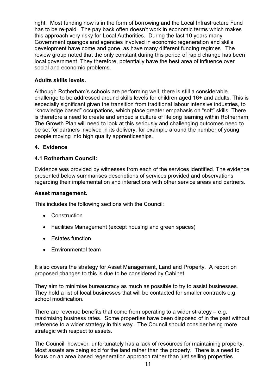right. Most funding now is in the form of borrowing and the Local Infrastructure Fund has to be re-paid. The pay back often doesn't work in economic terms which makes this approach very risky for Local Authorities. During the last 10 years many Government quangos and agencies involved in economic regeneration and skills development have come and gone, as have many different funding regimes. The review group noted that the only constant during this period of rapid change has been local government. They therefore, potentially have the best area of influence over social and economic problems.

#### Adults skills levels.

Although Rotherham's schools are performing well, there is still a considerable challenge to be addressed around skills levels for children aged 16+ and adults. This is especially significant given the transition from traditional labour intensive industries, to "knowledge based" occupations, which place greater empahasis on "soft" skills. There is therefore a need to create and embed a culture of lifelong learning within Rotherham. The Growth Plan will need to look at this seriously and challenging outcomes need to be set for partners involved in its delivery, for example around the number of young people moving into high quality apprenticeships.

## 4. Evidence

#### 4.1 Rotherham Council:

Evidence was provided by witnesses from each of the services identified. The evidence presented below summarises descriptions of services provided and observations regarding their implementation and interactions with other service areas and partners.

#### Asset management.

This includes the following sections with the Council:

- Construction
- Facilities Management (except housing and green spaces)
- Estates function
- Environmental team

It also covers the strategy for Asset Management, Land and Property. A report on proposed changes to this is due to be considered by Cabinet.

They aim to minimise bureaucracy as much as possible to try to assist businesses. They hold a list of local businesses that will be contacted for smaller contracts e.g. school modification.

There are revenue benefits that come from operating to a wider strategy – e.g. maximising business rates. Some properties have been disposed of in the past without reference to a wider strategy in this way. The Council should consider being more strategic with respect to assets.

The Council, however, unfortunately has a lack of resources for maintaining property. Most assets are being sold for the land rather than the property. There is a need to focus on an area based regeneration approach rather than just selling properties.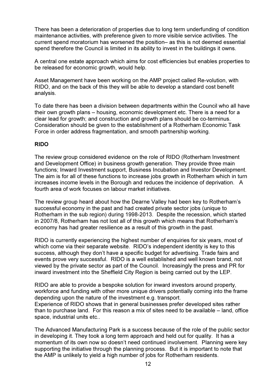There has been a deterioration of properties due to long term underfunding of condition maintenance activities, with preference given to more visible service activities. The current spend moratorium has worsened the position– as this is not deemed essential spend therefore the Council is limited in its ability to invest in the buildings it owns.

A central one estate approach which aims for cost efficiencies but enables properties to be released for economic growth, would help.

Asset Management have been working on the AMP project called Re-volution, with RIDO, and on the back of this they will be able to develop a standard cost benefit analysis.

To date there has been a division between departments within the Council who all have their own growth plans – housing, economic development etc. There is a need for a clear lead for growth; and construction and growth plans should be co-terminus. Consideration should be given to the establishment of a Rotherham Economic Task Force in order address fragmentation, and smooth partnership working.

## RIDO

The review group considered evidence on the role of RIDO (Rotherham Investment and Development Office) in business growth generation. They provide three main functions; Inward Investment support, Business Incubation and Investor Development. The aim is for all of these functions to increase jobs growth in Rotherham which in turn increases income levels in the Borough and reduces the incidence of deprivation. A fourth area of work focuses on labour market initiatives.

The review group heard about how the Dearne Valley had been key to Rotherham's successful economy in the past and had created private sector jobs (unique to Rotherham in the sub region) during 1998-2013. Despite the recession, which started in 2007/8, Rotherham has not lost all of this growth which means that Rotherham's economy has had greater resilience as a result of this growth in the past.

RIDO is currently experiencing the highest number of enquiries for six years, most of which come via their separate website. RIDO's independent identity is key to this success, although they don't have a specific budget for advertising. Trade fairs and events prove very successful. RIDO is a well established and well known brand, not viewed by the private sector as part of the Council. Increasingly the press and PR for inward investment into the Sheffield City Region is being carried out by the LEP.

RIDO are able to provide a bespoke solution for inward investors around property, workforce and funding with other more unique drivers potentially coming into the frame depending upon the nature of the investment e.g. transport.

Experience of RIDO shows that in general businesses prefer developed sites rather than to purchase land. For this reason a mix of sites need to be available – land, office space, industrial units etc..

The Advanced Manufacturing Park is a success because of the role of the public sector in developing it. They took a long term approach and held out for quality. It has a momentum of its own now so doesn't need continued involvement. Planning were key supporting the initiative through the planning process. But it is important to note that the AMP is unlikely to yield a high number of jobs for Rotherham residents.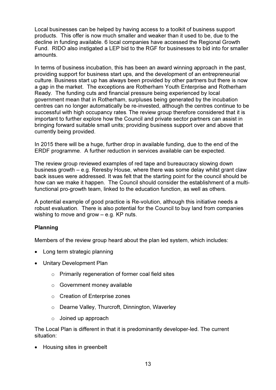Local businesses can be helped by having access to a toolkit of business support products. This offer is now much smaller and weaker than it used to be, due to the decline in funding available. 6 local companies have accessed the Regional Growth Fund. RIDO also instigated a LEP bid to the RGF for businesses to bid into for smaller amounts.

In terms of business incubation, this has been an award winning approach in the past, providing support for business start ups, and the development of an entrepreneurial culture. Business start up has always been provided by other partners but there is now a gap in the market. The exceptions are Rotherham Youth Enterprise and Rotherham Ready. The funding cuts and financial pressure being experienced by local government mean that in Rotherham, surpluses being generated by the incubation centres can no longer automatically be re-invested, although the centres continue to be successful with high occupancy rates. The review group therefore considered that it is important to further explore how the Council and private sector partners can assist in bringing forward suitable small units; providing business support over and above that currently being provided.

In 2015 there will be a huge, further drop in available funding, due to the end of the ERDF programme. A further reduction in services available can be expected.

The review group reviewed examples of red tape and bureaucracy slowing down business growth – e.g. Reresby House, where there was some delay whilst grant claw back issues were addressed. It was felt that the starting point for the council should be how can we make it happen. The Council should consider the establishment of a multifunctional pro-growth team, linked to the education function, as well as others.

A potential example of good practice is Re-volution, although this initiative needs a robust evaluation. There is also potential for the Council to buy land from companies wishing to move and grow  $-$  e.g. KP nuts.

## Planning

Members of the review group heard about the plan led system, which includes:

- Long term strategic planning
- Unitary Development Plan
	- o Primarily regeneration of former coal field sites
	- o Government money available
	- o Creation of Enterprise zones
	- o Dearne Valley, Thurcroft, Dinnington, Waverley
	- $\circ$  Joined up approach

The Local Plan is different in that it is predominantly developer-led. The current situation:

• Housing sites in greenbelt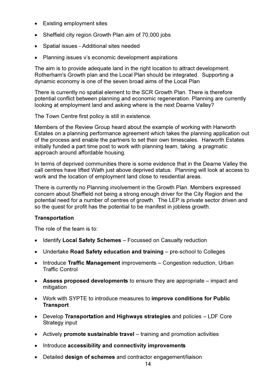- Existing employment sites
- Sheffield city region Growth Plan aim of 70,000 jobs
- Spatial issues Additional sites needed
- Planning issues v's economic development aspirations

The aim is to provide adequate land in the right location to attract development. Rotherham's Growth plan and the Local Plan should be integrated. Supporting a dynamic economy is one of the seven broad aims of the Local Plan

There is currently no spatial element to the SCR Growth Plan. There is therefore potential conflict between planning and economic regeneration. Planning are currently looking at employment land and asking where is the next Dearne Valley?

The Town Centre first policy is still in existence.

Members of the Review Group heard about the example of working with Harworth Estates on a planning performance agreement which takes the planning application out of the process and enable the partners to set their own timescales. Harworth Estates initially funded a part time post to work with planning team, taking a pragmatic approach around affordable housing.

In terms of deprived communities there is some evidence that in the Dearne Valley the call centres have lifted Wath just above deprived status. Planning will look at access to work and the location of employment land close to residential areas.

There is currently no Planning involvement in the Growth Plan. Members expressed concern about Sheffield not being a strong enough driver for the City Region and the potential need for a number of centres of growth. The LEP is private sector driven and so the quest for profit has the potential to be manifest in jobless growth.

#### **Transportation**

The role of the team is to:

- Identify Local Safety Schemes Focussed on Casualty reduction
- Undertake Road Safety education and training pre-school to Colleges
- Introduce Traffic Management improvements Congestion reduction, Urban Traffic Control
- Assess proposed developments to ensure they are appropriate impact and mitigation
- Work with SYPTE to introduce measures to improve conditions for Public **Transport**
- Develop Transportation and Highways strategies and policies LDF Core Strategy input
- Actively **promote sustainable travel** training and promotion activities
- Introduce accessibility and connectivity improvements
- Detailed design of schemes and contractor engagement/liaison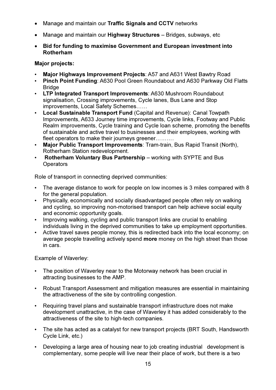- Manage and maintain our Traffic Signals and CCTV networks
- Manage and maintain our **Highway Structures** Bridges, subways, etc
- Bid for funding to maximise Government and European investment into Rotherham

## Major projects:

- Major Highways Improvement Projects: A57 and A631 West Bawtry Road
- Pinch Point Funding: A630 Pool Green Roundabout and A630 Parkway Old Flatts **Bridge**
- LTP Integrated Transport Improvements: A630 Mushroom Roundabout signalisation, Crossing improvements, Cycle lanes, Bus Lane and Stop improvements, Local Safety Schemes……
- Local Sustainable Transport Fund (Capital and Revenue): Canal Towpath Improvements, A633 Journey time improvements, Cycle links, Footway and Public Realm improvements, Cycle training and Cycle loan scheme, promoting the benefits of sustainable and active travel to businesses and their employees, working with fleet operators to make their journeys greener……….
- Major Public Transport Improvements: Tram-train, Bus Rapid Transit (North), Rotherham Station redevelopment.
- Rotherham Voluntary Bus Partnership working with SYPTE and Bus **Operators**

Role of transport in connecting deprived communities:

- The average distance to work for people on low incomes is 3 miles compared with 8 for the general population.
- Physically, economically and socially disadvantaged people often rely on walking and cycling, so improving non-motorised transport can help achieve social equity and economic opportunity goals.
- Improving walking, cycling and public transport links are crucial to enabling individuals living in the deprived communities to take up employment opportunities.
- Active travel saves people money, this is redirected back into the local economy; on average people travelling actively spend more money on the high street than those in cars.

Example of Waverley:

- The position of Waverley near to the Motorway network has been crucial in attracting businesses to the AMP.
- Robust Transport Assessment and mitigation measures are essential in maintaining the attractiveness of the site by controlling congestion.
- Requiring travel plans and sustainable transport infrastructure does not make development unattractive, in the case of Waverley it has added considerably to the attractiveness of the site to high-tech companies.
- The site has acted as a catalyst for new transport projects (BRT South, Handsworth Cycle Link, etc.)
- Developing a large area of housing near to job creating industrial development is complementary, some people will live near their place of work, but there is a two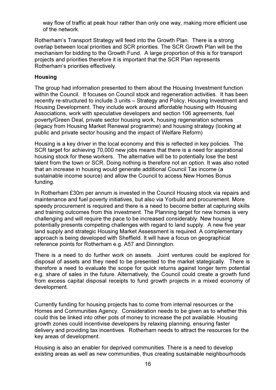way flow of traffic at peak hour rather than only one way, making more efficient use of the network.

Rotherham's Transport Strategy will feed into the Growth Plan. There is a strong overlap between local priorities and SCR priorities. The SCR Growth Plan will be the mechanism for bidding to the Growth Fund. A large proportion of this is for transport projects and priorities therefore it is important that the SCR Plan represents Rotherham's priorities effectively.

#### Housing

The group had information presented to them about the Housing Investment function within the Council. It focuses on Council stock and regeneration activities. It has been recently re-structured to include 3 units – Strategy and Policy, Housing Investment and Housing Development. They include work around affordable housing with Housing Associations, work with speculative developers and section 106 agreements, fuel poverty/Green Deal, private sector housing work, housing regeneration schemes (legacy from Housing Market Renewal programme) and housing strategy (looking at public and private sector housing and the impact of Welfare Reform)

Housing is a key driver in the local economy and this is reflected in key policies. The SCR target for achieving 70,000 new jobs means that there is a need for aspirational housing stock for these workers. The alternative will be to potentially lose the best talent from the town or SCR. Doing nothing is therefore not an option. It was also noted that an increase in housing would generate additional Council Tax income (a sustainable income source) and allow the Council to access New Homes Bonus funding.

In Rotherham £30m per annum is invested in the Council Housing stock via repairs and maintenance and fuel poverty initiatives, but also via Yorbuild and procurement. More speedy procurement is required and there is a need to become better at capturing skills and training outcomes from this investment. The Planning target for new homes is very challenging and will require the pace to be increased considerably. New housing potentially presents competing challenges with regard to land supply. A new five year land supply and strategic Housing Market Assessment is required. A complementary approach is being developed with Sheffield. It will have a focus on geographical reference points for Rotherham e.g. A57 and Dinnington.

There is a need to do further work on assets. Joint ventures could be explored for disposal of assets and they need to be presented to the market stategically. There is therefore a need to evaluate the scope for quick returns against longer term potential e.g. share of sales in the future. Alternatively, the Council could create a growth fund from excess capital disposal receipts to fund growth projects in a mixed economy of development.

Currently funding for housing projects has to come from internal resources or the Homes and Communities Agency. Consideration needs to be given as to whether this could this be linked into other pots of money to increase the pot available. Housing growth zones could incentivise developers by relaxing planning, ensuring faster delivery and providing tax incentives. Rotherham needs to attract the resources for the key areas of development.

Housing is also an enabler for deprived communities. There is a need to develop existing areas as well as new communities, thus creating sustainable neighbourhoods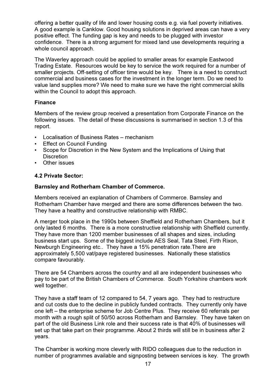offering a better quality of life and lower housing costs e.g. via fuel poverty initiatives. A good example is Canklow. Good housing solutions in deprived areas can have a very positive effect. The funding gap is key and needs to be plugged with investor confidence. There is a strong argument for mixed land use developments requiring a whole council approach.

The Waverley approach could be applied to smaller areas for example Eastwood Trading Estate. Resources would be key to service the work required for a number of smaller projects. Off-setting of officer time would be key. There is a need to construct commercial and business cases for the investment in the longer term. Do we need to value land supplies more? We need to make sure we have the right commercial skills within the Council to adopt this approach.

## Finance

Members of the review group received a presentation from Corporate Finance on the following issues. The detail of these discussions is summarised in section 1.3 of this report.

- Localisation of Business Rates mechanism
- Effect on Council Funding
- Scope for Discretion in the New System and the Implications of Using that **Discretion**
- Other issues

## 4.2 Private Sector:

#### Barnsley and Rotherham Chamber of Commerce.

Members received an explanation of Chambers of Commerce. Barnsley and Rotherham Chamber have merged and there are some differences between the two. They have a healthy and constructive relationship with RMBC.

A merger took place in the 1990s between Sheffield and Rotherham Chambers, but it only lasted 6 months. There is a more constructive relationship with Sheffield currently. They have more than 1200 member businesses of all shapes and sizes, including business start ups. Some of the biggest include AES Seal, Tata Steel, Firth Rixon, Newburgh Engineering etc.. They have a 15% penetration rate.There are approximately 5,500 vat/paye registered businesses. Nationally these statistics compare favourably.

There are 54 Chambers across the country and all are independent businesses who pay to be part of the British Chambers of Commerce. South Yorkshire chambers work well together.

They have a staff team of 12 compared to 54, 7 years ago. They had to restructure and cut costs due to the decline in publicly funded contracts. They currently only have one left – the enterprise scheme for Job Centre Plus. They receive 60 referrals per month with a rough split of 50/50 across Rotherham and Barnsley. They have taken on part of the old Business Link role and their success rate is that 40% of businesses will set up that take part on their programme. About 2 thirds will still be in business after 2 years.

The Chamber is working more cleverly with RIDO colleagues due to the reduction in number of programmes available and signposting between services is key. The growth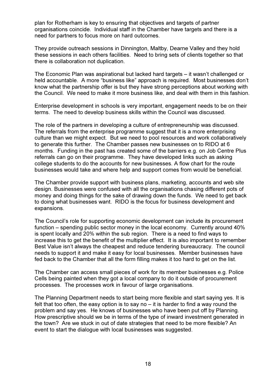plan for Rotherham is key to ensuring that objectives and targets of partner organisations coincide. Individual staff in the Chamber have targets and there is a need for partners to focus more on hard outcomes.

They provide outreach sessions in Dinnington, Maltby, Dearne Valley and they hold these sessions in each others facilities. Need to bring sets of clients together so that there is collaboration not duplication.

The Economic Plan was aspirational but lacked hard targets – it wasn't challenged or held accountable. A more "business like" approach is required. Most businesses don't know what the partnership offer is but they have strong perceptions about working with the Council. We need to make it more business like, and deal with them in this fashion.

Enterprise development in schools is very important, engagement needs to be on their terms. The need to develop business skills within the Council was discussed.

The role of the partners in developing a culture of entrepreneurship was discussed. The referrals from the enterprise programme suggest that it is a more enterprising culture than we might expect. But we need to pool resources and work collaboratively to generate this further. The Chamber passes new businesses on to RIDO at 6 months. Funding in the past has created some of the barriers e.g. on Job Centre Plus referrals can go on their programme. They have developed links such as asking college students to do the accounts for new businesses. A flow chart for the route businesses would take and where help and support comes from would be beneficial.

The Chamber provide support with business plans, marketing, accounts and web site design. Businesses were confused with all the organisations chasing different pots of money and doing things for the sake of drawing down the funds. We need to get back to doing what businesses want. RIDO is the focus for business development and expansions.

The Council's role for supporting economic development can include its procurement function – spending public sector money in the local economy. Currently around 40% is spent locally and 20% within the sub region. There is a need to find ways to increase this to get the benefit of the multiplier effect. It is also important to remember Best Value isn't always the cheapest and reduce tendering bureaucracy. The council needs to support it and make it easy for local businesses. Member businesses have fed back to the Chamber that all the form filling makes it too hard to get on the list.

The Chamber can access small pieces of work for its member businesses e.g. Police Cells being painted when they got a local company to do it outside of procurement processes. The processes work in favour of large organisations.

The Planning Department needs to start being more flexible and start saying yes. It is felt that too often, the easy option is to say no – it is harder to find a way round the problem and say yes. He knows of businesses who have been put off by Planning. How prescriptive should we be in terms of the type of inward investment generated in the town? Are we stuck in out of date strategies that need to be more flexible? An event to start the dialogue with local businesses was suggested.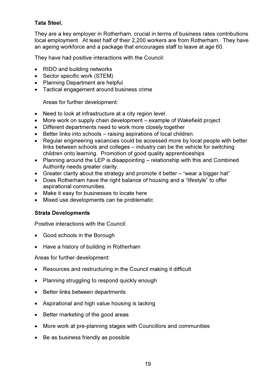## Tata Steel.

They are a key employer in Rotherham, crucial in terms of business rates contributions local employment. At least half of their 2,200 workers are from Rotherham. They have an ageing workforce and a package that encourages staff to leave at age 60.

They have had positive interactions with the Council:

- RIDO and building networks
- Sector specific work (STEM)
- Planning Department are helpful
- Tactical engagement around business crime

Areas for further development:

- Need to look at infrastructure at a city region level
- More work on supply chain development example of Wakefield project
- Different departments need to work more closely together
- Better links into schools raising aspirations of local children.
- Regular engineering vacancies could be accessed more by local people with better links between schools and colleges – industry can be the vehicle for switching children onto learning. Promotion of good quality apprenticeships
- Planning around the LEP is disappointing relationship with this and Combined Authority needs greater clarity.
- Greater clarity about the strategy and promote it better "wear a bigger hat"
- Does Rotherham have the right balance of housing and a "lifestyle" to offer aspirational communities.
- Make it easy for businesses to locate here
- Mixed use developments can be problematic

#### Strata Developments

Positive interactions with the Council:

- Good schools in the Borough
- Have a history of building in Rotherham

Areas for further development:

- Resources and restructuring in the Council making it difficult
- Planning struggling to respond quickly enough
- Better links between departments
- Aspirational and high value housing is lacking
- Better marketing of the good areas
- More work at pre-planning stages with Councillors and communities
- Be as business friendly as possible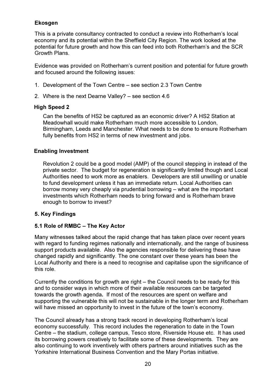## Ekosgen

This is a private consultancy contracted to conduct a review into Rotherham's local economy and its potential within the Sheffield City Region. The work looked at the potential for future growth and how this can feed into both Rotherham's and the SCR Growth Plans.

Evidence was provided on Rotherham's current position and potential for future growth and focused around the following issues:

- 1. Development of the Town Centre see section 2.3 Town Centre
- 2. Where is the next Dearne Valley? see section 4.6

## High Speed 2

Can the benefits of HS2 be captured as an economic driver? A HS2 Station at Meadowhall would make Rotherham much more accessible to London, Birmingham, Leeds and Manchester. What needs to be done to ensure Rotherham fully benefits from HS2 in terms of new investment and jobs.

## Enabling Investment

Revolution 2 could be a good model (AMP) of the council stepping in instead of the private sector. The budget for regeneration is significantly limited though and Local Authorities need to work more as enablers. Developers are still unwilling or unable to fund development unless it has an immediate return. Local Authorities can borrow money very cheaply via prudential borrowing – what are the important investments which Rotherham needs to bring forward and is Rotherham brave enough to borrow to invest?

## 5. Key Findings

## 5.1 Role of RMBC – The Key Actor

Many witnesses talked about the rapid change that has taken place over recent years with regard to funding regimes nationally and internationally, and the range of business support products available. Also the agencies responsible for delivering these have changed rapidly and significantly. The one constant over these years has been the Local Authority and there is a need to recognise and capitalise upon the significance of this role.

Currently the conditions for growth are right – the Council needs to be ready for this and to consider ways in which more of their available resources can be targeted towards the growth agenda. If most of the resources are spent on welfare and supporting the vulnerable this will not be sustainable in the longer term and Rotherham will have missed an opportunity to invest in the future of the town's economy.

The Council already has a strong track record in developing Rotherham's local economy successfully. This record includes the regeneration to date in the Town Centre – the stadium, college campus, Tesco store, Riverside House etc. It has used its borrowing powers creatively to facilitate some of these developments. They are also continuing to work inventively with others partners around initiatives such as the Yorkshire International Business Convention and the Mary Portas initiative.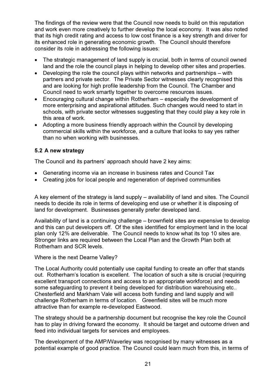The findings of the review were that the Council now needs to build on this reputation and work even more creatively to further develop the local economy. It was also noted that its high credit rating and access to low cost finance is a key strength and driver for its enhanced role in generating economic growth. The Council should therefore consider its role in addressing the following issues:

- The strategic management of land supply is crucial, both in terms of council owned land and the role the council plays in helping to develop other sites and properties.
- Developing the role the council plays within networks and partnerships with partners and private sector. The Private Sector witnesses clearly recognised this and are looking for high profile leadership from the Council. The Chamber and Council need to work smartly together to overcome resources issues.
- Encouraging cultural change within Rotherham especially the development of more enterprising and aspirational attitudes. Such changes would need to start in schools, with private sector witnesses suggesting that they could play a key role in this area of work.
- Adopting a more business friendly approach within the Council by developing commercial skills within the workforce, and a culture that looks to say yes rather than no when working with businesses.

## 5.2 A new strategy

The Council and its partners' approach should have 2 key aims:

- Generating income via an increase in business rates and Council Tax
- Creating jobs for local people and regeneration of deprived communities

A key element of the strategy is land supply – availability of land and sites. The Council needs to decide its role in terms of developing end use or whether it is disposing of land for development. Businesses generally prefer developed land.

Availability of land is a continuing challenge – brownfield sites are expensive to develop and this can put developers off. Of the sites identified for employment land in the local plan only 12% are deliverable. The Council needs to know what its top 10 sites are. Stronger links are required between the Local Plan and the Growth Plan both at Rotherham and SCR levels.

Where is the next Dearne Valley?

The Local Authority could potentially use capital funding to create an offer that stands out. Rotherham's location is excellent. The location of such a site is crucial (requiring excellent transport connections and access to an appropriate workforce) and needs some safeguarding to prevent it being developed for distribution warehousing etc.. Chesterfield and Markham Vale will access both funding and land supply and will challenge Rotherham in terms of location. Greenfield sites will be much more attractive than for example re-developed Eastwood.

The strategy should be a partnership document but recognise the key role the Council has to play in driving forward the economy. It should be target and outcome driven and feed into individual targets for services and employees.

The development of the AMP/Waverley was recognised by many witnesses as a potential example of good practice. The Council could learn much from this, in terms of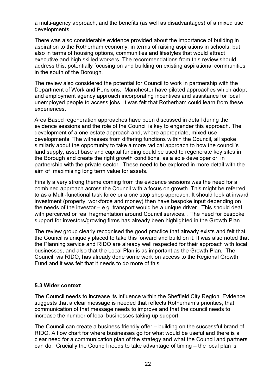a multi-agency approach, and the benefits (as well as disadvantages) of a mixed use developments.

There was also considerable evidence provided about the importance of building in aspiration to the Rotherham economy, in terms of raising aspirations in schools, but also in terms of housing options, communities and lifestyles that would attract executive and high skilled workers. The recommendations from this review should address this, potentially focusing on and building on existing aspirational communities in the south of the Borough.

The review also considered the potential for Council to work in partnership with the Department of Work and Pensions. Manchester have piloted approaches which adopt and employment agency approach incorporating incentives and assistance for local unemployed people to access jobs. It was felt that Rotherham could learn from these experiences.

Area Based regeneration approaches have been discussed in detail during the evidence sessions and the role of the Council is key to engender this approach. The development of a one estate approach and, where appropriate, mixed use developments. The witnesses from differing functions within the Council, all spoke similarly about the opportunity to take a more radical approach to how the council's land supply, asset base and capital funding could be used to regenerate key sites in the Borough and create the right growth conditions, as a sole developer or, in partnership with the private sector. These need to be explored in more detail with the aim of maximising long term value for assets.

Finally a very strong theme coming from the evidence sessions was the need for a combined approach across the Council with a focus on growth. This might be referred to as a Multi-functional task force or a one stop shop approach. It should look at inward investment (property, workforce and money) then have bespoke input depending on the needs of the investor – e.g. transport would be a unique driver. This should deal with perceived or real fragmentation around Council services. . The need for bespoke support for investors/growing firms has already been highlighted in the Growth Plan.

The review group clearly recognised the good practice that already exists and felt that the Council is uniquely placed to take this forward and build on it. It was also noted that the Planning service and RIDO are already well respected for their approach with local businesses, and also that the Local Plan is as important as the Growth Plan. The Council, via RIDO, has already done some work on access to the Regional Growth Fund and it was felt that it needs to do more of this.

#### 5.3 Wider context

The Council needs to increase its influence within the Sheffield City Region. Evidence suggests that a clear message is needed that reflects Rotherham's priorities; that communication of that message needs to improve and that the council needs to increase the number of local businesses taking up support.

The Council can create a business friendly offer – building on the successful brand of RIDO. A flow chart for where businesses go for what would be useful and there is a clear need for a communication plan of the strategy and what the Council and partners can do. Crucially the Council needs to take advantage of timing – the local plan is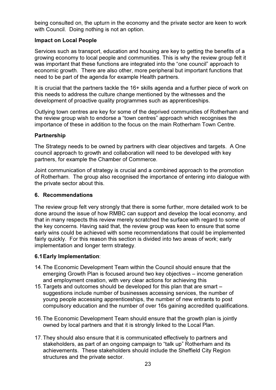being consulted on, the upturn in the economy and the private sector are keen to work with Council. Doing nothing is not an option.

#### Impact on Local People

Services such as transport, education and housing are key to getting the benefits of a growing economy to local people and communities. This is why the review group felt it was important that these functions are integrated into the "one council" approach to economic growth. There are also other, more peripheral but important functions that need to be part of the agenda for example Health partners.

It is crucial that the partners tackle the 16+ skills agenda and a further piece of work on this needs to address the culture change mentioned by the witnesses and the development of proactive quality programmes such as apprenticeships.

Outlying town centres are key for some of the deprived communities of Rotherham and the review group wish to endorse a "town centres" approach which recognises the importance of these in addition to the focus on the main Rotherham Town Centre.

## Partnership

The Strategy needs to be owned by partners with clear objectives and targets. A One council approach to growth and collaboration will need to be developed with key partners, for example the Chamber of Commerce.

Joint communication of strategy is crucial and a combined approach to the promotion of Rotherham. The group also recognised the importance of entering into dialogue with the private sector about this.

#### 6. Recommendations

The review group felt very strongly that there is some further, more detailed work to be done around the issue of how RMBC can support and develop the local economy, and that in many respects this review merely scratched the surface with regard to some of the key concerns. Having said that, the review group was keen to ensure that some early wins could be achieved with some recommendations that could be implemented fairly quickly. For this reason this section is divided into two areas of work; early implementation and longer term strategy.

#### 6.1 Early Implementation:

- 14. The Economic Development Team within the Council should ensure that the emerging Growth Plan is focused around two key objectives – income generation and employment creation, with very clear actions for achieving this
- 15. Targets and outcomes should be developed for this plan that are smart suggestions include number of businesses accessing services, the number of young people accessing apprenticeships, the number of new entrants to post compulsory education and the number of over 16s gaining accredited qualifications.
- 16. The Economic Development Team should ensure that the growth plan is jointly owned by local partners and that it is strongly linked to the Local Plan.
- 17. They should also ensure that it is communicated effectively to partners and stakeholders, as part of an ongoing campaign to "talk up" Rotherham and its achievements. These stakeholders should include the Sheffield City Region structures and the private sector.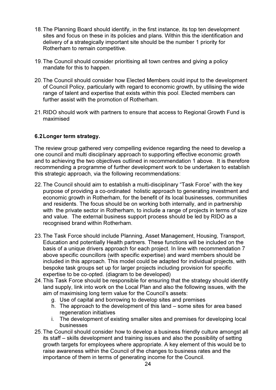- 18. The Planning Board should identify, in the first instance, its top ten development sites and focus on these in its policies and plans. Within this the identification and delivery of a strategically important site should be the number 1 priority for Rotherham to remain competitive.
- 19. The Council should consider prioritising all town centres and giving a policy mandate for this to happen.
- 20. The Council should consider how Elected Members could input to the development of Council Policy, particularly with regard to economic growth, by utilising the wide range of talent and expertise that exists within this pool. Elected members can further assist with the promotion of Rotherham.
- 21. RIDO should work with partners to ensure that access to Regional Growth Fund is maximised

## 6.2 Longer term strategy.

The review group gathered very compelling evidence regarding the need to develop a one council and multi disciplinary approach to supporting effective economic growth and to achieving the two objectives outlined in recommendation 1 above. It is therefore recommending a programme of further development work to be undertaken to establish this strategic approach, via the following recommendations:

- 22. The Council should aim to establish a multi-disciplinary "Task Force" with the key purpose of providing a co-ordinated holistic approach to generating investment and economic growth in Rotherham, for the benefit of its local businesses, communities and residents. The focus should be on working both internally, and in partnership with the private sector in Rotherham, to include a range of projects in terms of size and value. The external business support process should be led by RIDO as a recognised brand within Rotherham.
- 23. The Task Force should include Planning, Asset Management, Housing, Transport, Education and potentially Health partners. These functions will be included on the basis of a unique drivers approach for each project. In line with recommendation 7 above specific councillors (with specific expertise) and ward members should be included in this approach. This model could be adapted for individual projects, with bespoke task groups set up for larger projects including provision for specific expertise to be co-opted. (diagram to be developed)
- 24. This Task Force should be responsible for ensuring that the strategy should identify land supply, link into work on the Local Plan and also the following issues, with the aim of maximising long term value for the Council's assets:
	- g. Use of capital and borrowing to develop sites and premises
	- h. The approach to the development of this land some sites for area based regeneration initiatives
	- i. The development of existing smaller sites and premises for developing local businesses
- 25. The Council should consider how to develop a business friendly culture amongst all its staff – skills development and training issues and also the possibility of setting growth targets for employees where appropriate. A key element of this would be to raise awareness within the Council of the changes to business rates and the importance of them in terms of generating income for the Council.